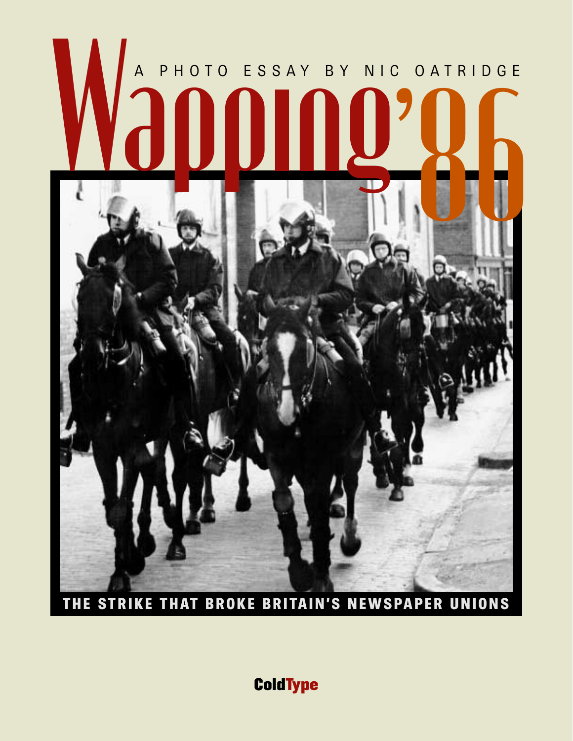# Wardoo ESSAY BY NIC '86 A PHOTO ESSAY BY NIC OATRIDGE



**THE STRIKE THAT BROKE BRITAIN'S NEWSPAPER UNIONS**

**ColdType**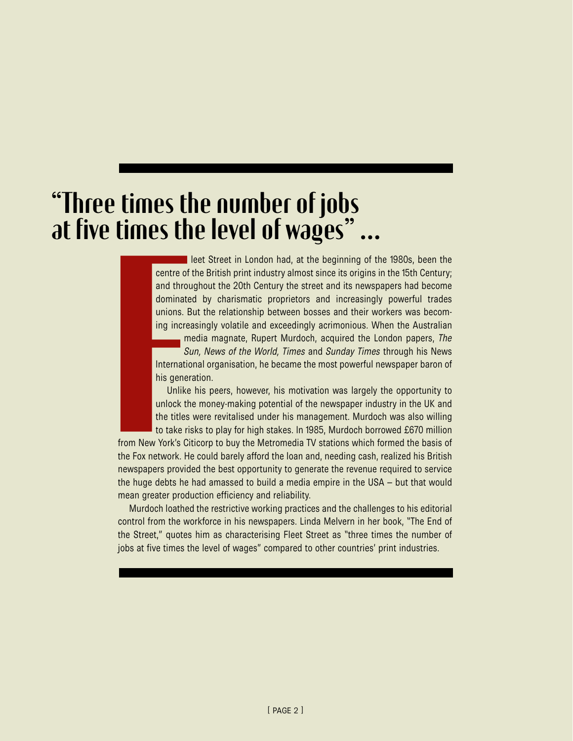## "Three times the number of jobs at five times the level of wages" …

leet Street in London had, at the beginning of the 1980s, been the centre of the British print industry almost since its origins in the 15th Century; and throughout the 20th Century the street and its newspapers had become dominated by charismatic proprietors and increasingly powerful trades unions. But the relationship between bosses and their workers was becoming increasingly volatile and exceedingly acrimonious. When the Australian

media magnate, Rupert Murdoch, acquired the London papers, *The Sun, News of the World, Times* and *Sunday Times* through his News International organisation, he became the most powerful newspaper baron of his generation.

Unlike his peers, however, his motivation was largely the opportunity to unlock the money-making potential of the newspaper industry in the UK and the titles were revitalised under his management. Murdoch was also willing to take risks to play for high stakes. In 1985, Murdoch borrowed £670 million

from New York's Citicorp to buy the Metromedia TV stations which formed the basis of the Fox network. He could barely afford the loan and, needing cash, realized his British newspapers provided the best opportunity to generate the revenue required to service the huge debts he had amassed to build a media empire in the USA – but that would mean greater production efficiency and reliability.

Murdoch loathed the restrictive working practices and the challenges to his editorial control from the workforce in his newspapers. Linda Melvern in her book, "The End of the Street," quotes him as characterising Fleet Street as "three times the number of jobs at five times the level of wages" compared to other countries' print industries.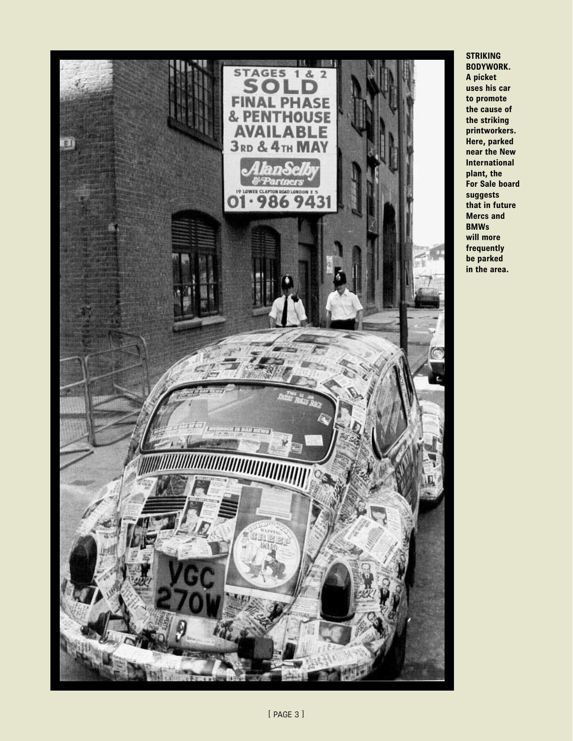

#### **STRIKING BODYWORK.**

**A picket uses his car to promote the cause of the striking printworkers. Here, parked near the New International plant, the For Sale board suggests that in future Mercs and BMWs will more frequently be parked in the area.**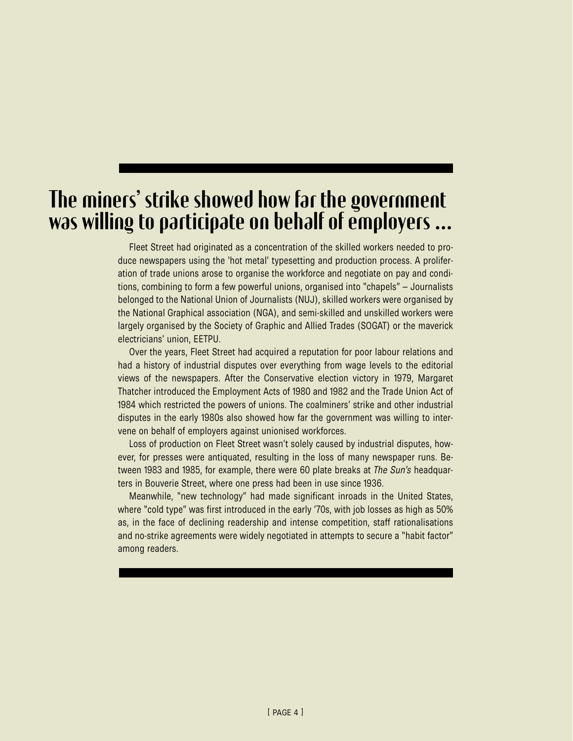## The miners' strike showed how far the government was willing to participate on behalf of employers …

Fleet Street had originated as a concentration of the skilled workers needed to produce newspapers using the 'hot metal' typesetting and production process. A proliferation of trade unions arose to organise the workforce and negotiate on pay and conditions, combining to form a few powerful unions, organised into "chapels" – Journalists belonged to the National Union of Journalists (NUJ), skilled workers were organised by the National Graphical association (NGA), and semi-skilled and unskilled workers were largely organised by the Society of Graphic and Allied Trades (SOGAT) or the maverick electricians' union, EETPU.

Over the years, Fleet Street had acquired a reputation for poor labour relations and had a history of industrial disputes over everything from wage levels to the editorial views of the newspapers. After the Conservative election victory in 1979, Margaret Thatcher introduced the Employment Acts of 1980 and 1982 and the Trade Union Act of 1984 which restricted the powers of unions. The coalminers' strike and other industrial disputes in the early 1980s also showed how far the government was willing to intervene on behalf of employers against unionised workforces.

Loss of production on Fleet Street wasn't solely caused by industrial disputes, however, for presses were antiquated, resulting in the loss of many newspaper runs. Between 1983 and 1985, for example, there were 60 plate breaks at *The Sun's* headquarters in Bouverie Street, where one press had been in use since 1936.

Meanwhile, "new technology" had made significant inroads in the United States, where "cold type" was first introduced in the early '70s, with job losses as high as 50% as, in the face of declining readership and intense competition, staff rationalisations and no-strike agreements were widely negotiated in attempts to secure a "habit factor" among readers.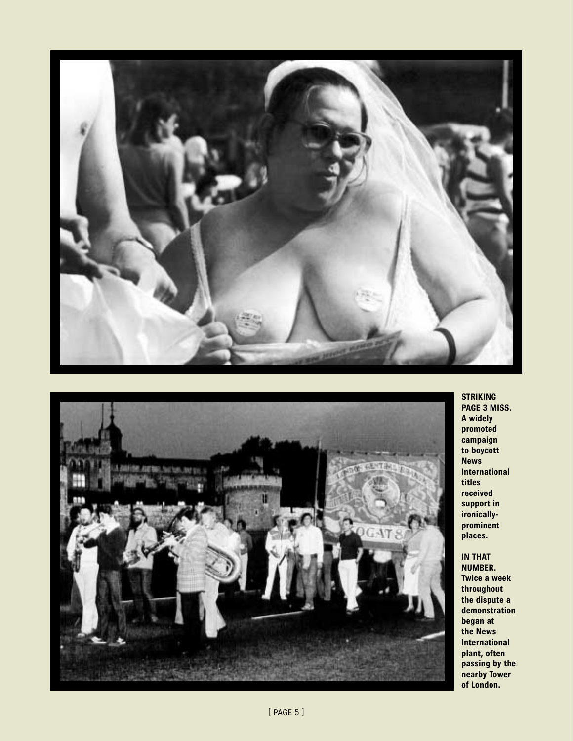



**STRIKING PAGE 3 MISS. A widely promoted campaign to boycott News International titles received support in ironicallyprominent places.**

**IN THAT NUMBER. Twice a week throughout the dispute a demonstration began at the News International plant, often passing by the nearby Tower of London.**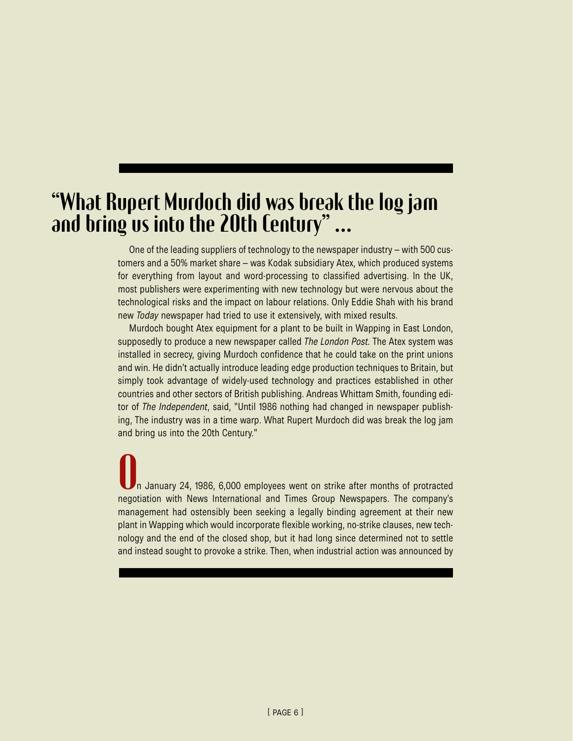## "What Rupert Murdoch did was break the log jam and bring us into the 20th Century" …

One of the leading suppliers of technology to the newspaper industry – with 500 customers and a 50% market share – was Kodak subsidiary Atex, which produced systems for everything from layout and word-processing to classified advertising. In the UK, most publishers were experimenting with new technology but were nervous about the technological risks and the impact on labour relations. Only Eddie Shah with his brand new *Today* newspaper had tried to use it extensively, with mixed results.

Murdoch bought Atex equipment for a plant to be built in Wapping in East London, supposedly to produce a new newspaper called *The London Post.* The Atex system was installed in secrecy, giving Murdoch confidence that he could take on the print unions and win. He didn't actually introduce leading edge production techniques to Britain, but simply took advantage of widely-used technology and practices established in other countries and other sectors of British publishing. Andreas Whittam Smith, founding editor of *The Independent*, said, "Until 1986 nothing had changed in newspaper publishing, The industry was in a time warp. What Rupert Murdoch did was break the log jam and bring us into the 20th Century."

n January 24, 1986, 6,000 employees went on strike after months of protracted negotiation with News International and Times Group Newspapers. The company's management had ostensibly been seeking a legally binding agreement at their new plant in Wapping which would incorporate flexible working, no-strike clauses, new technology and the end of the closed shop, but it had long since determined not to settle and instead sought to provoke a strike. Then, when industrial action was announced by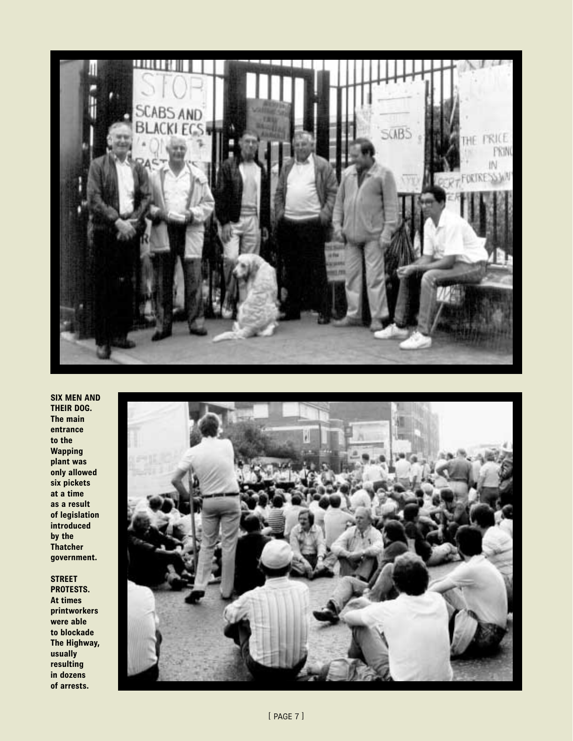

**SIX MEN AND THEIR DOG. The main entrance to the Wapping plant was only allowed six pickets at a time as a result of legislation introduced by the Thatcher government.**

**STREET PROTESTS. At times printworkers were able to blockade The Highway, usually resulting in dozens of arrests.**

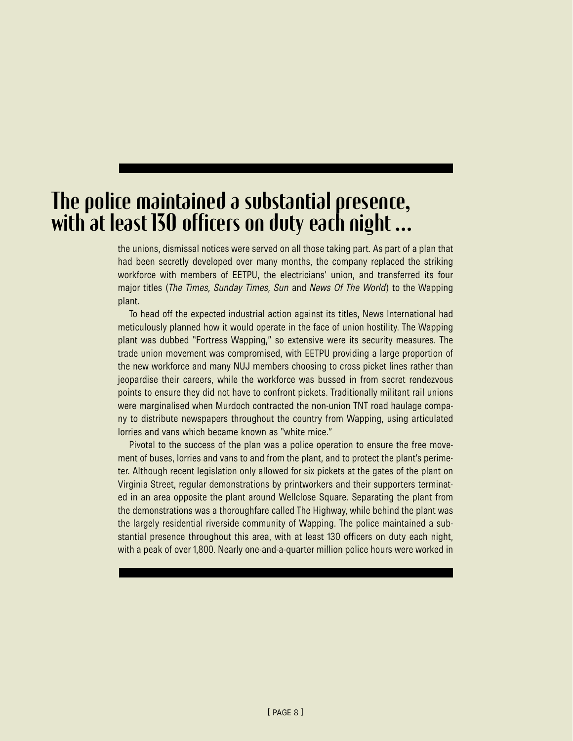## The police maintained a substantial presence, with at least 130 officers on duty each night …

the unions, dismissal notices were served on all those taking part. As part of a plan that had been secretly developed over many months, the company replaced the striking workforce with members of EETPU, the electricians' union, and transferred its four major titles (*The Times, Sunday Times, Sun* and *News Of The World*) to the Wapping plant.

To head off the expected industrial action against its titles, News International had meticulously planned how it would operate in the face of union hostility. The Wapping plant was dubbed "Fortress Wapping," so extensive were its security measures. The trade union movement was compromised, with EETPU providing a large proportion of the new workforce and many NUJ members choosing to cross picket lines rather than jeopardise their careers, while the workforce was bussed in from secret rendezvous points to ensure they did not have to confront pickets. Traditionally militant rail unions were marginalised when Murdoch contracted the non-union TNT road haulage company to distribute newspapers throughout the country from Wapping, using articulated lorries and vans which became known as "white mice."

Pivotal to the success of the plan was a police operation to ensure the free movement of buses, lorries and vans to and from the plant, and to protect the plant's perimeter. Although recent legislation only allowed for six pickets at the gates of the plant on Virginia Street, regular demonstrations by printworkers and their supporters terminated in an area opposite the plant around Wellclose Square. Separating the plant from the demonstrations was a thoroughfare called The Highway, while behind the plant was the largely residential riverside community of Wapping. The police maintained a substantial presence throughout this area, with at least 130 officers on duty each night, with a peak of over 1,800. Nearly one-and-a-quarter million police hours were worked in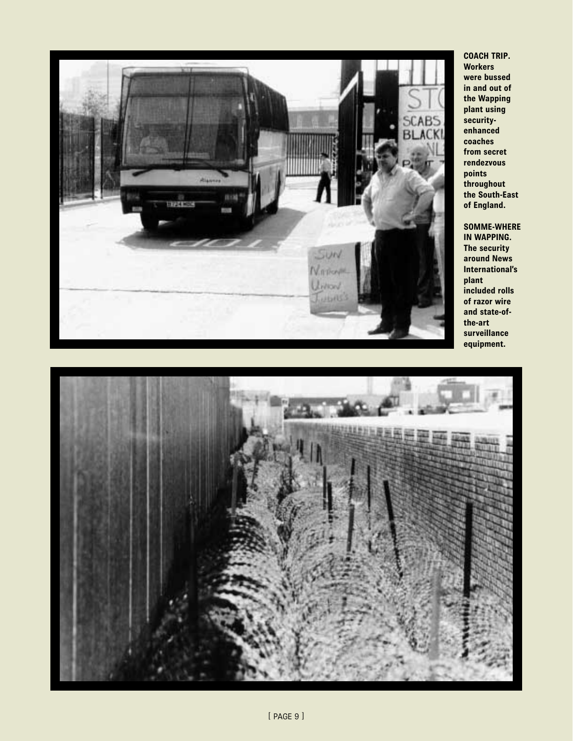

**COACH TRIP. Workers were bussed in and out of the Wapping plant using securityenhanced coaches from secret rendezvous points throughout the South-East of England.**

**SOMME-WHERE IN WAPPING. The security around News International's plant included rolls of razor wire and state-ofthe-art surveillance equipment.** 

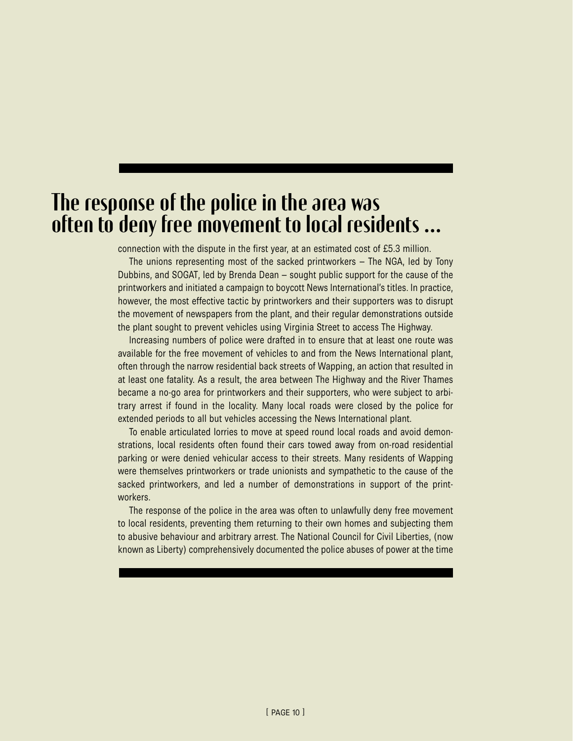## The response of the police in the area was often to deny free movement to local residents …

connection with the dispute in the first year, at an estimated cost of £5.3 million.

The unions representing most of the sacked printworkers – The NGA, led by Tony Dubbins, and SOGAT, led by Brenda Dean – sought public support for the cause of the printworkers and initiated a campaign to boycott News International's titles. In practice, however, the most effective tactic by printworkers and their supporters was to disrupt the movement of newspapers from the plant, and their regular demonstrations outside the plant sought to prevent vehicles using Virginia Street to access The Highway.

Increasing numbers of police were drafted in to ensure that at least one route was available for the free movement of vehicles to and from the News International plant, often through the narrow residential back streets of Wapping, an action that resulted in at least one fatality. As a result, the area between The Highway and the River Thames became a no-go area for printworkers and their supporters, who were subject to arbitrary arrest if found in the locality. Many local roads were closed by the police for extended periods to all but vehicles accessing the News International plant.

To enable articulated lorries to move at speed round local roads and avoid demonstrations, local residents often found their cars towed away from on-road residential parking or were denied vehicular access to their streets. Many residents of Wapping were themselves printworkers or trade unionists and sympathetic to the cause of the sacked printworkers, and led a number of demonstrations in support of the printworkers.

The response of the police in the area was often to unlawfully deny free movement to local residents, preventing them returning to their own homes and subjecting them to abusive behaviour and arbitrary arrest. The National Council for Civil Liberties, (now known as Liberty) comprehensively documented the police abuses of power at the time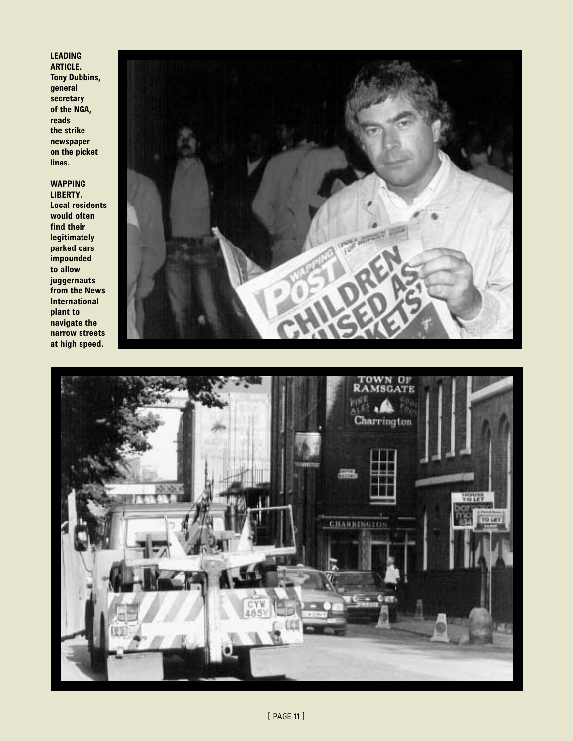#### **LEADING ARTICLE.**

**Tony Dubbins, general secretary of the NGA, reads the strike newspaper on the picket lines.**

#### **WAPPING**

**LIBERTY. Local residents would often find their legitimately parked cars impounded to allow juggernauts from the News International plant to navigate the narrow streets at high speed.**



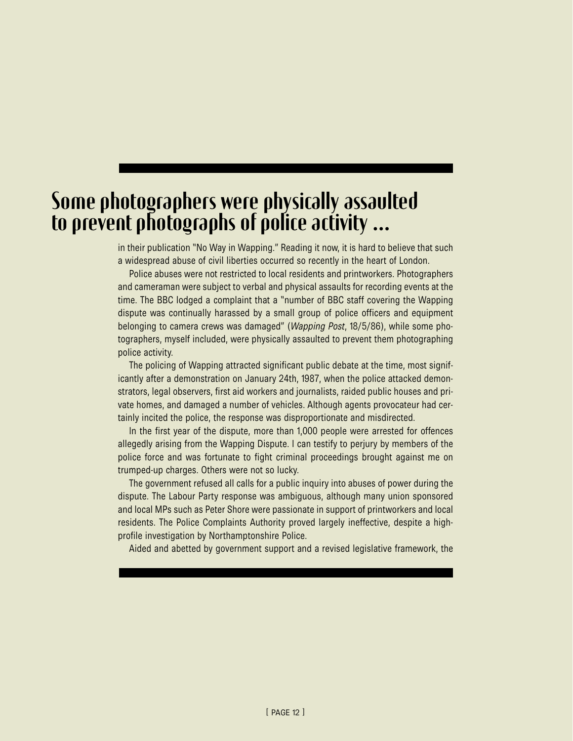## Some photographers were physically assaulted to prevent photographs of police activity …

in their publication "No Way in Wapping." Reading it now, it is hard to believe that such a widespread abuse of civil liberties occurred so recently in the heart of London.

Police abuses were not restricted to local residents and printworkers. Photographers and cameraman were subject to verbal and physical assaults for recording events at the time. The BBC lodged a complaint that a "number of BBC staff covering the Wapping dispute was continually harassed by a small group of police officers and equipment belonging to camera crews was damaged" (*Wapping Post*, 18/5/86), while some photographers, myself included, were physically assaulted to prevent them photographing police activity.

The policing of Wapping attracted significant public debate at the time, most significantly after a demonstration on January 24th, 1987, when the police attacked demonstrators, legal observers, first aid workers and journalists, raided public houses and private homes, and damaged a number of vehicles. Although agents provocateur had certainly incited the police, the response was disproportionate and misdirected.

In the first year of the dispute, more than 1,000 people were arrested for offences allegedly arising from the Wapping Dispute. I can testify to perjury by members of the police force and was fortunate to fight criminal proceedings brought against me on trumped-up charges. Others were not so lucky.

The government refused all calls for a public inquiry into abuses of power during the dispute. The Labour Party response was ambiguous, although many union sponsored and local MPs such as Peter Shore were passionate in support of printworkers and local residents. The Police Complaints Authority proved largely ineffective, despite a highprofile investigation by Northamptonshire Police.

Aided and abetted by government support and a revised legislative framework, the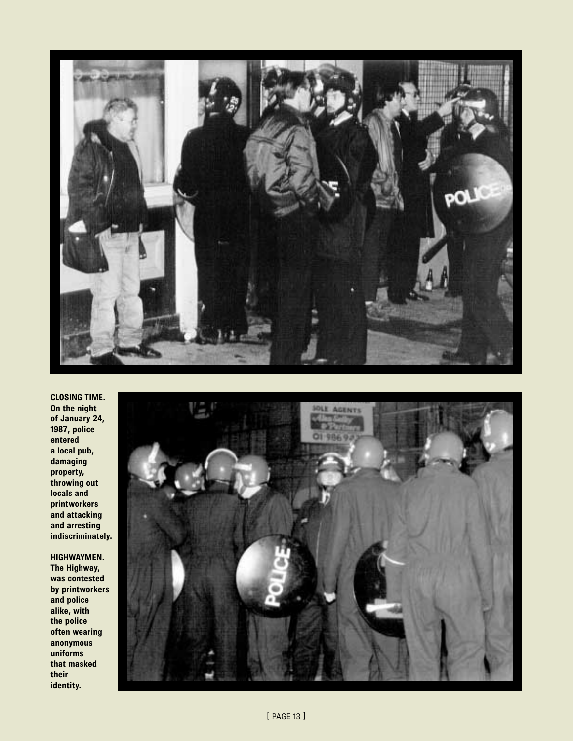

**CLOSING TIME. On the night of January 24, 1987, police entered a local pub, damaging property, throwing out locals and printworkers and attacking and arresting indiscriminately.**

**HIGHWAYMEN. The Highway, was contested by printworkers and police alike, with the police often wearing anonymous uniforms that masked their identity.**

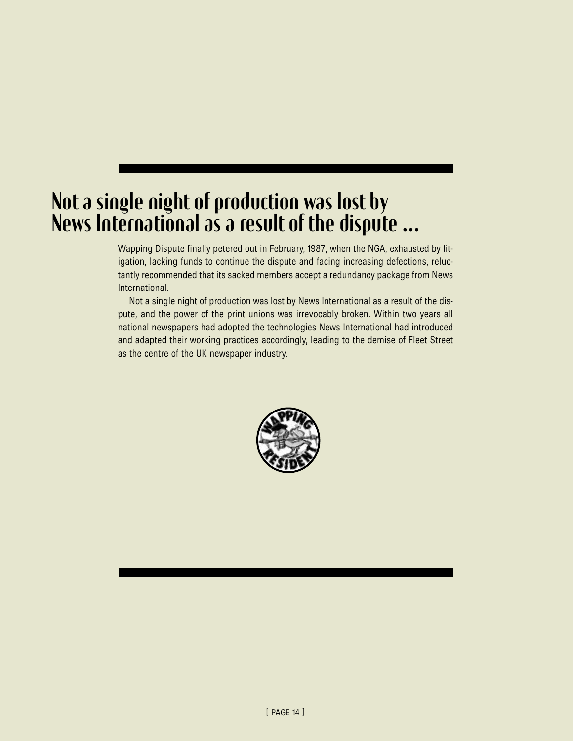## Not a single night of production was lost by News International as a result of the dispute …

Wapping Dispute finally petered out in February, 1987, when the NGA, exhausted by litigation, lacking funds to continue the dispute and facing increasing defections, reluctantly recommended that its sacked members accept a redundancy package from News International.

Not a single night of production was lost by News International as a result of the dispute, and the power of the print unions was irrevocably broken. Within two years all national newspapers had adopted the technologies News International had introduced and adapted their working practices accordingly, leading to the demise of Fleet Street as the centre of the UK newspaper industry.

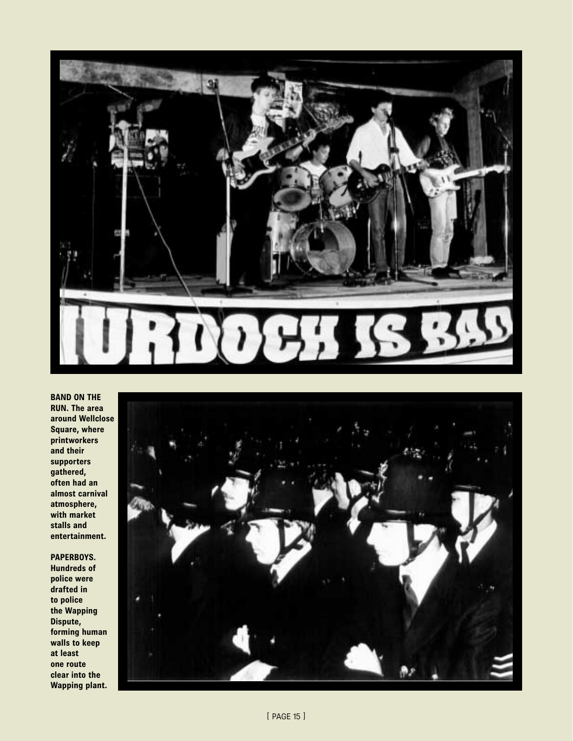

**BAND ON THE RUN. The area around Wellclose Square, where printworkers and their supporters gathered, often had an almost carnival atmosphere, with market stalls and entertainment.**

**PAPERBOYS.**

**Hundreds of police were drafted in to police the Wapping Dispute, forming human walls to keep at least one route clear into the Wapping plant.**

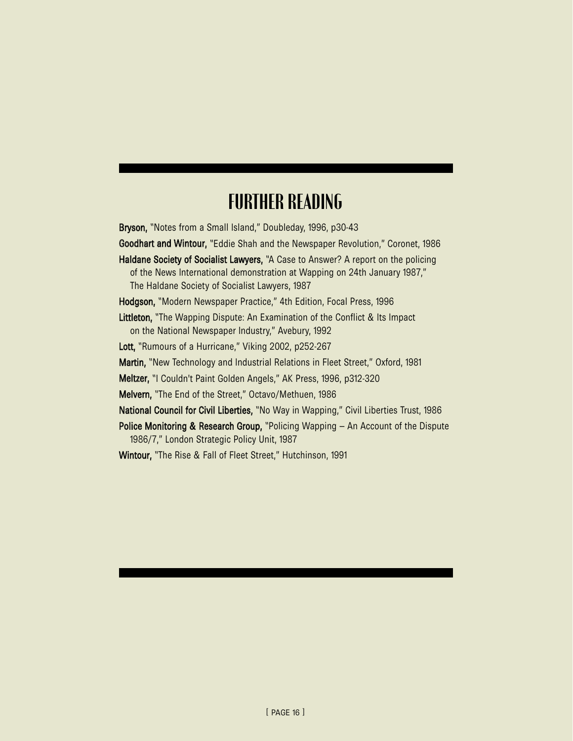## FURTHER READING

Bryson, "Notes from a Small Island," Doubleday, 1996, p30-43

Goodhart and Wintour, "Eddie Shah and the Newspaper Revolution," Coronet, 1986

Haldane Society of Socialist Lawyers, "A Case to Answer? A report on the policing of the News International demonstration at Wapping on 24th January 1987," The Haldane Society of Socialist Lawyers, 1987

Hodgson, "Modern Newspaper Practice," 4th Edition, Focal Press, 1996

Littleton, "The Wapping Dispute: An Examination of the Conflict & Its Impact on the National Newspaper Industry," Avebury, 1992

Lott, "Rumours of a Hurricane," Viking 2002, p252-267

Martin, "New Technology and Industrial Relations in Fleet Street," Oxford, 1981

Meltzer, "I Couldn't Paint Golden Angels," AK Press, 1996, p312-320

Melvern, "The End of the Street," Octavo/Methuen, 1986

National Council for Civil Liberties, "No Way in Wapping," Civil Liberties Trust, 1986

Police Monitoring & Research Group, "Policing Wapping – An Account of the Dispute 1986/7," London Strategic Policy Unit, 1987

Wintour, "The Rise & Fall of Fleet Street," Hutchinson, 1991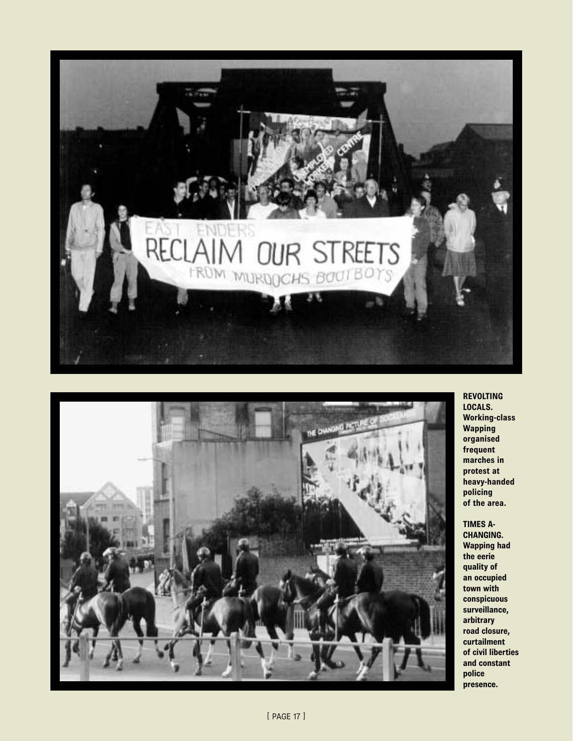



**REVOLTING LOCALS. Working-class Wapping organised frequent marches in protest at heavy-handed policing of the area.** 

**TIMES A-CHANGING. Wapping had the eerie quality of an occupied town with conspicuous surveillance, arbitrary road closure, curtailment of civil liberties and constant police presence.**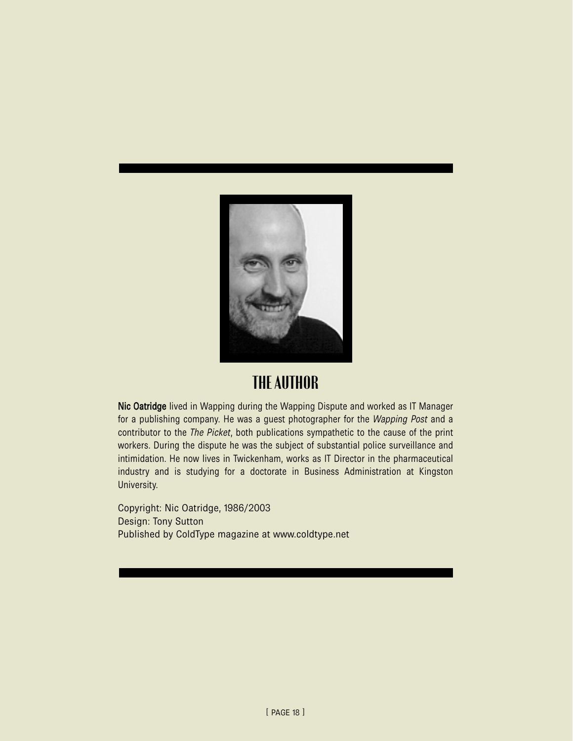

### THE AUTHOR

Nic Oatridge lived in Wapping during the Wapping Dispute and worked as IT Manager for a publishing company. He was a guest photographer for the *Wapping Post* and a contributor to the *The Picket*, both publications sympathetic to the cause of the print workers. During the dispute he was the subject of substantial police surveillance and intimidation. He now lives in Twickenham, works as IT Director in the pharmaceutical industry and is studying for a doctorate in Business Administration at Kingston University.

Copyright: Nic Oatridge, 1986/2003 Design: Tony Sutton Published by ColdType magazine at www.coldtype.net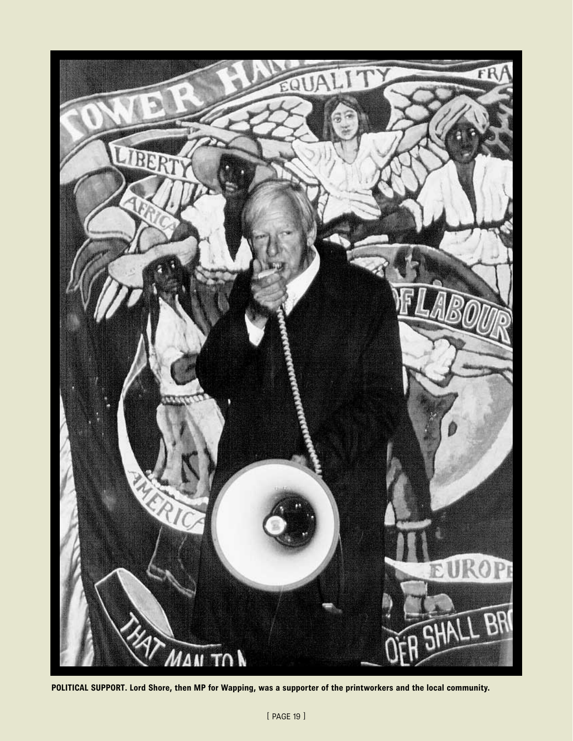

**POLITICAL SUPPORT. Lord Shore, then MP for Wapping, was a supporter of the printworkers and the local community.**